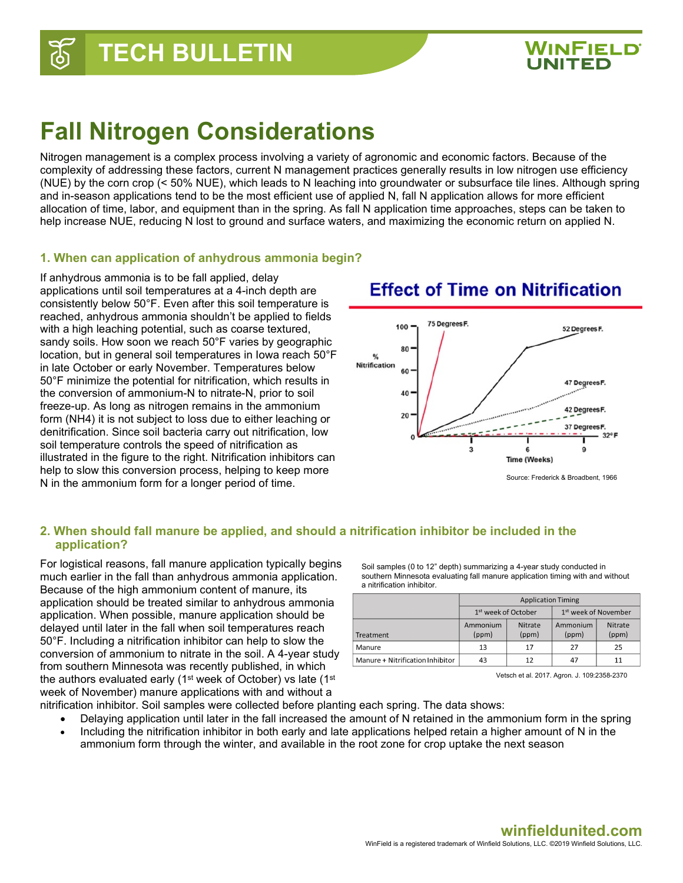

## **Fall Nitrogen Considerations**

Nitrogen management is a complex process involving a variety of agronomic and economic factors. Because of the complexity of addressing these factors, current N management practices generally results in low nitrogen use efficiency (NUE) by the corn crop (< 50% NUE), which leads to N leaching into groundwater or subsurface tile lines. Although spring and in-season applications tend to be the most efficient use of applied N, fall N application allows for more efficient allocation of time, labor, and equipment than in the spring. As fall N application time approaches, steps can be taken to help increase NUE, reducing N lost to ground and surface waters, and maximizing the economic return on applied N.

#### **1. When can application of anhydrous ammonia begin?**

If anhydrous ammonia is to be fall applied, delay applications until soil temperatures at a 4-inch depth are consistently below 50°F. Even after this soil temperature is reached, anhydrous ammonia shouldn't be applied to fields with a high leaching potential, such as coarse textured, sandy soils. How soon we reach 50°F varies by geographic location, but in general soil temperatures in Iowa reach 50°F in late October or early November. Temperatures below 50°F minimize the potential for nitrification, which results in the conversion of ammonium-N to nitrate-N, prior to soil freeze-up. As long as nitrogen remains in the ammonium form (NH4) it is not subject to loss due to either leaching or denitrification. Since soil bacteria carry out nitrification, low soil temperature controls the speed of nitrification as illustrated in the figure to the right. Nitrification inhibitors can help to slow this conversion process, helping to keep more N in the ammonium form for a longer period of time.



### **Effect of Time on Nitrification**

#### **2. When should fall manure be applied, and should a nitrification inhibitor be included in the application?**

For logistical reasons, fall manure application typically begins much earlier in the fall than anhydrous ammonia application. Because of the high ammonium content of manure, its application should be treated similar to anhydrous ammonia application. When possible, manure application should be delayed until later in the fall when soil temperatures reach 50°F. Including a nitrification inhibitor can help to slow the conversion of ammonium to nitrate in the soil. A 4-year study from southern Minnesota was recently published, in which the authors evaluated early (1st week of October) vs late (1st week of November) manure applications with and without a

Soil samples (0 to 12" depth) summarizing a 4-year study conducted in southern Minnesota evaluating fall manure application timing with and without a nitrification inhibitor.

|                                  | <b>Application Timing</b>       |                         |                                  |                         |
|----------------------------------|---------------------------------|-------------------------|----------------------------------|-------------------------|
|                                  | 1 <sup>st</sup> week of October |                         | 1 <sup>st</sup> week of November |                         |
| Treatment                        | Ammonium<br>(ppm)               | <b>Nitrate</b><br>(ppm) | Ammonium<br>(ppm)                | <b>Nitrate</b><br>(ppm) |
| Manure                           | 13                              | 17                      | 27                               | 25                      |
| Manure + Nitrification Inhibitor | 43                              | 12                      | 47                               |                         |

Vetsch et al. 2017. Agron. J. 109:2358-2370

- nitrification inhibitor. Soil samples were collected before planting each spring. The data shows:
	- Delaying application until later in the fall increased the amount of N retained in the ammonium form in the spring
	- Including the nitrification inhibitor in both early and late applications helped retain a higher amount of N in the ammonium form through the winter, and available in the root zone for crop uptake the next season